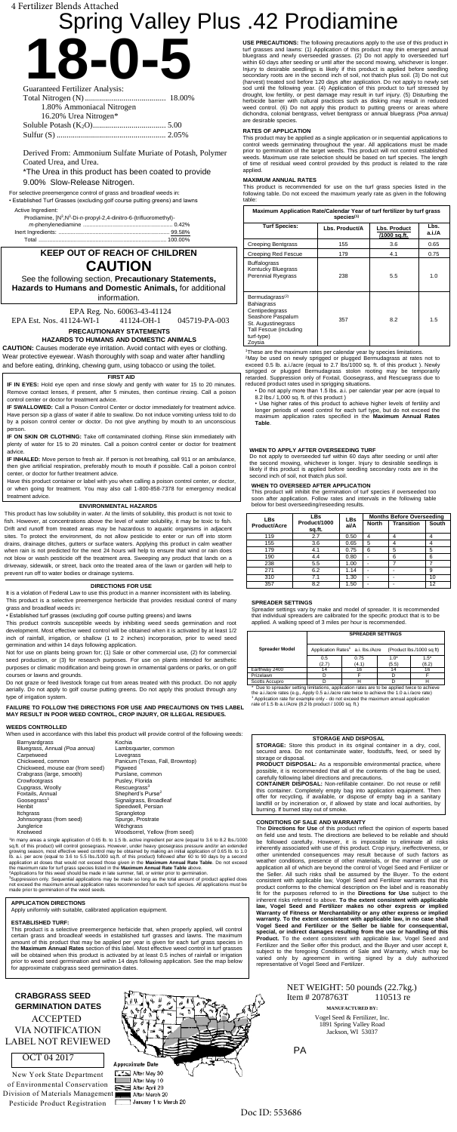

| 1.80% Ammoniacal Nitrogen |  |
|---------------------------|--|
| 16.20% Urea Nitrogen*     |  |
|                           |  |
|                           |  |

Derived From: Ammonium Sulfate Muriate of Potash, Polymer Coated Urea, and Urea.

\*The Urea in this product has been coated to provide 9.00% Slow-Release Nitrogen.

# Spring Valley Plus .42 Prodiamine

For selective preemergence control of grass and broadleaf weeds in:

• Established Turf Grasses (excluding golf course putting greens) and lawns

Active Ingredient:

| Prodiamine, [N <sup>3</sup> , N <sup>3</sup> -Di-n-propyl-2,4-dinitro-6-(trifluoromethyl)- |  |
|--------------------------------------------------------------------------------------------|--|
|                                                                                            |  |
|                                                                                            |  |
|                                                                                            |  |
|                                                                                            |  |

# **KEEP OUT OF REACH OF CHILDREN CAUTION**

See the following section, **Precautionary Statements, Hazards to Humans and Domestic Animals,** for additional information.

EPA Reg. No. 60063-43-41124 EPA Est. Nos. 41124-WI-1 41124-OH-1 045719-PA-003

**PRECAUTIONARY STATEMENTS**

**HAZARDS TO HUMANS AND DOMESTIC ANIMALS**

**CAUTION:** Causes moderate eye irritation. Avoid contact with eyes or clothing. Wear protective eyewear. Wash thoroughly with soap and water after handling and before eating, drinking, chewing gum, using tobacco or using the toilet.

#### **ENVIRONMENTAL HAZARDS**

This product has low solubility in water. At the limits of solubility, this product is not toxic to fish. However, at concentrations above the level of water solubility, it may be toxic to fish. Drift and runoff from treated areas may be hazardous to aquatic organisms in adjacent sites. To protect the environment, do not allow pesticide to enter or run off into storm drains, drainage ditches, gutters or surface waters. Applying this product in calm weather when rain is not predicted for the next 24 hours will help to ensure that wind or rain does not blow or wash pesticide off the treatment area. Sweeping any product that lands on a driveway, sidewalk, or street, back onto the treated area of the lawn or garden will help to prevent run off to water bodies or drainage systems.

1 In many areas a single application of 0.65 lb. to 1.5 lb. active ingredient per acre (equal to 3.6 to 8.2 lbs./1000 sq.ft. of this product) will control goosegrass. However, under heavy goosegrass pressure and/or an extended<br>growing season, most effective weed control may be obtained by making an initial application of 0.65 lb. to 1.0<br>l application at doses that would not exceed those given in the **Maximum Annual Rate Table**. Do not exceed<br>the maximum rate for turf grass species listed in the **Maximum Annual Rate Table** above.<br><sup>2</sup>Applications for this wee

<sup>3</sup>Suppression only. Sequential applications may be made so long as the total amount of product applied does<br>not exceed the maximum annual application rates recommended for each turf species. All applications must be<br>made

#### **DIRECTIONS FOR USE**

It is a violation of Federal Law to use this product in a manner inconsistent with its labeling. This product is a selective preemergence herbicide that provides residual control of many grass and broadleaf weeds in:

• Established turf grasses (excluding golf course putting greens) and lawns

This product controls susceptible weeds by inhibiting weed seeds germination and root development. Most effective weed control will be obtained when it is activated by at least 1/2 inch of rainfall, irrigation, or shallow (1 to 2 inches) incorporation, prior to weed seed germination and within 14 days following application.

Not for use on plants being grown for; (1) Sale or other commercial use, (2) for commercial seed production, or (3) for research purposes. For use on plants intended for aesthetic purposes or climatic modification and being grown in ornamental gardens or parks, or on golf courses or lawns and grounds.

Do not graze or feed livestock forage cut from areas treated with this product. Do not apply aerially. Do not apply to golf course putting greens. Do not apply this product through any type of irrigation system.

**FAILURE TO FOLLOW THE DIRECTIONS FOR USE AND PRECAUTIONS ON THIS LABEL MAY RESULT IN POOR WEED CONTROL, CROP INJURY, OR ILLEGAL RESIDUES.**

#### **WEEDS CONTROLLED**

When used in accordance with this label this product will provide control of the following weeds:

|                                  | Kochia                          |
|----------------------------------|---------------------------------|
| Barnyardgrass                    |                                 |
| Bluegrass, Annual (Poa annua)    | Lambsquarter, common            |
| Carpetweed                       | Lovegrass                       |
| Chickweed, common                | Panicum (Texas, Fall, Browntop) |
| Chickweed, mouse ear (from seed) | Piaweed                         |
| Crabgrass (large, smooth)        | Purslane, common                |
| Crowfootgrass                    | Pusley, Florida                 |
| Cupgrass, Woolly                 | Rescuegrass <sup>3</sup>        |
| Foxtails, Annual                 | Shepherd's Purse <sup>2</sup>   |
| Goosegrass <sup>1</sup>          | Signalgrass, Broadleaf          |
| Henbit                           | Speedwell, Persian              |
| Itchgrass                        | Sprangletop                     |
| Johnsongrass (from seed)         | Spurge, Prostrate               |
| Junglerice                       | Witchgrass                      |
| Knotweed                         | Woodsorrel, Yellow (from seed)  |

<sup>2</sup>May be used on newly sprigged or plugged Bermudagrass at rates not to exceed 0.5 lb. a.i./acre (equal to 2.7 lbs/1000 sq. ft. of this product ). Newly sprigged or plugged Bermudagrass stolon rooting may be temporarily retarded. Suppression only of Foxtail, Goosegrass, and Rescuegrass due to reduced product rates used in sprigging situations.

**IF IN EYES:** Hold eye open and rinse slowly and gently with water for 15 to 20 minutes Remove contact lenses, if present, after 5 minutes, then continue rinsing. Call a poison control center or doctor for treatment advice.

#### **APPLICATION DIRECTIONS**

Apply uniformly with suitable, calibrated application equipment.

#### **ESTABLISHED TURF:**

This product is a selective preemergence herbicide that, when properly applied, will control certain grass and broadleaf weeds in established turf grasses and lawns. The maximum amount of this product that may be applied per year is given for each turf grass species in the **Maximum Annual Rates** section of this label. Most effective weed control in turf grasses will be obtained when this product is activated by at least 0.5 inches of rainfall or irrigation prior to weed seed germination and within 14 days following application. See the map below for approximate crabgrass seed germination dates.

The **Directions for Use** of this product reflect the opinion of experts based on field use and tests. The directions are believed to be reliable and should be followed carefully. However, it is impossible to eliminate all risks inherently associated with use of this product. Crop injury, ineffectiveness, or other unintended consequences may result because of such factors as weather conditions, presence of other materials, or the manner of use or application all of which are beyond the control of Vogel Seed and Fertilizer or the Seller. All such risks shall be assumed by the Buyer. To the extent consistent with applicable law, Vogel Seed and Fertilizer warrants that this product conforms to the chemical description on the label and is reasonably fit for the purposes referred to in the **Directions for Use** subject to the inherent risks referred to above. **To the extent consistent with applicable law, Vogel Seed and Fertilizer makes no other express or implied Warranty of Fitness or Merchantability or any other express or implied warranty. To the extent consistent with applicable law, in no case shall Vogel Seed and Fertilizer or the Seller be liable for consequential, special, or indirect damages resulting from the use or handling of this**  Product. To the extent consistent with applicable law, Vogel Seed and Fertilizer and the Seller offer this product, and the Buyer and user accept it, subject to the foregoing Conditions of Sale and Warranty, which may be varied only by agreement in writing signed by a duly authorized representative of Vogel Seed and Fertilizer.

**USE PRECAUTIONS:** The following precautions apply to the use of this product in turf grasses and lawns: (1) Application of this product may thin emerged annual bluegrass and newly overseeded grasses. (2) Do not apply to overseeded turf within 60 days after seeding or until after the second mowing, whichever is longer. Injury to desirable seedlings is likely if this product is applied before seedling secondary roots are in the second inch of soil, not thatch plus soil. (3) Do not cut (harvest) treated sod before 120 days after application. Do not apply to newly set sod until the following year. (4) Application of this product to turf stressed by drought, low fertility, or pest damage may result in turf injury. (5) Disturbing the herbicide barrier with cultural practices such as disking may result in reduced weed control. (6) Do not apply this product to putting greens or areas where dichondra, colonial bentgrass, velvet bentgrass or annual bluegrass *(Poa annua)*  are desirable species.

# NET WEIGHT: 50 pounds (22.7kg.) Item # 2078763T 110513 re

#### **RATES OF APPLICATION**

Scotts Accupro Heritag limitations, application rates are to be applied twice to achieve<br>\* Due to spreader setting limitations, application rates are to be applied twice to achieve<br>the a.i./acre rates (e.g., Apply 0.5 a.i. <sup>1</sup> Application rate for example only - do not exceed the maximum annual application rate of 1.5 lb a.i./Acre (8.2 lb product / 1000 sq. ft.)

This product may be applied as a single application or in sequential applications to control weeds germinating throughout the year. All applications must be made prior to germination of the target weeds. This product will not control established weeds. Maximum use rate selection should be based on turf species. The length of time of residual weed control provided by this product is related to the rate applied.

#### **MAXIMUM ANNUAL RATES**

This product is recommended for use on the turf grass species listed in the following table. Do not exceed the maximum yearly rate as given in the following table:

| Maximum Application Rate/Calendar Year of turf fertilizer by turf grass<br>species <sup>(1)</sup>                                                               |                |                              |                |  |
|-----------------------------------------------------------------------------------------------------------------------------------------------------------------|----------------|------------------------------|----------------|--|
| <b>Turf Species:</b>                                                                                                                                            | Lbs. Product/A | Lbs. Product<br>/1000 sq.ft. | Lbs.<br>a.i./A |  |
| <b>Creeping Bentgrass</b>                                                                                                                                       | 155            | 3.6                          | 0.65           |  |
| Creeping Red Fescue                                                                                                                                             | 179            | 4.1                          | 0.75           |  |
| <b>Buffalograss</b><br>Kentucky Bluegrass<br><b>Perennial Ryegrass</b>                                                                                          | 238            | 5.5                          | 1.0            |  |
| Bermudagrass <sup>(2)</sup><br><b>Bahiagrass</b><br>Centipedegrass<br>Seashore Paspalum<br>St. Augustinegrass<br>Tall Fescue (including<br>turf-type)<br>Zoysia | 357            | 8.2                          | 1.5            |  |

<sup>1</sup>These are the maximum rates per calendar year by species limitations.

• Do not apply more than 1.5 lbs. a.i. per calendar year per acre (equal to 8.2 lbs./ 1,000 sq. ft. of this product )

• Use higher rates of this product to achieve higher levels of fertility and longer periods of weed control for each turf type, but do not exceed the maximum application rates specified in the **Maximum Annual Rates Table**.

#### **FIRST AID**

**IF SWALLOWED:** Call a Poison Control Center or doctor immediately for treatment advice. Have person sip a glass of water if able to swallow. Do not induce vomiting unless told to do by a poison control center or doctor. Do not give anything by mouth to an unconscious person.

**IF ON SKIN OR CLOTHING:** Take off contaminated clothing. Rinse skin immediately with plenty of water for 15 to 20 minutes. Call a poison control center or doctor for treatment advice.

**IF INHALED:** Move person to fresh air. If person is not breathing, call 911 or an ambulance, then give artificial respiration, preferably mouth to mouth if possible. Call a poison control center, or doctor for further treatment advice.

Have this product container or label with you when calling a poison control center, or doctor, or when going for treatment. You may also call 1-800-858-7378 for emergency medical treatment advice.

### **WHEN TO APPLY AFTER OVERSEEDING TURF**

Do not apply to overseeded turf within 60 days after seeding or until after the second mowing, whichever is longer. Injury to desirable seedlings is likely if this product is applied before seedling secondary roots are in the second inch of soil, not thatch plus soil.

#### **WHEN TO OVERSEED AFTER APPLICATION**

This product will inhibit the germination of turf species if overseeded too soon after application. Follow rates and intervals in the following table below for best overseeding/reseeding results.

| <b>LBs</b>   | LBs                    | <b>LBs</b> |                | <b>Months Before Overseeding</b> |       |
|--------------|------------------------|------------|----------------|----------------------------------|-------|
| Product/Acre | Product/1000<br>sq.ft. | ai/A       | <b>North</b>   | <b>Transition</b>                | South |
| 119          | 2.7                    | 0.50       | 4              |                                  |       |
| 155          | 3.6                    | 0.65       | 5              |                                  |       |
| 179          | 4.1                    | 0.75       | 6              | 5                                | 5     |
| 190          | 4.4                    | 0.80       |                | 6                                | 6     |
| 238          | 5.5                    | 1.00       |                |                                  |       |
| 271          | 6.2                    | 1.14       |                |                                  | 9     |
| 310          | 7.1                    | 1.30       | -              |                                  | 10    |
| 357          | 8.2                    | 1.50       | $\overline{a}$ |                                  | 12    |

#### **STORAGE AND DISPOSAL**

**STORAGE:** Store this product in its original container in a dry, cool, secured area. Do not contaminate water, foodstuffs, feed, or seed by storage or disposal.

**PRODUCT DISPOSAL:** As a responsible environmental practice, where possible, it is recommended that all of the contents of the bag be used, carefully following label directions and precautions.

**CONTAINER DISPOSAL:** Non-refillable container. Do not reuse or refill this container. Completely empty bag into application equipment. Then offer for recycling, if available, or dispose of empty bag in a sanitary landfill or by incineration or, if allowed by state and local authorities, by burning. If burned stay out of smoke.

#### **CONDITIONS OF SALE AND WARRANTY**



Vogel Seed & Fertilizer, Inc. 1891 Spring Valley Road Jackson, WI 53037

#### **SPREADER SETTINGS**

Spreader settings vary by make and model of spreader. It is recommended that individual spreaders are calibrated for the specific product that is to be applied. A walking speed of 3 miles per hour is recommended.

|                       |              | <b>SPREADER SETTINGS</b> |                                                                         |                 |  |  |
|-----------------------|--------------|--------------------------|-------------------------------------------------------------------------|-----------------|--|--|
| <b>Spreader Model</b> |              |                          | Application Rates <sup>1</sup> a.i. lbs./Acre (Product lbs./1000 sq ft) |                 |  |  |
|                       | 0.5<br>(2.7) | 0.75<br>(4.1)            | 1.0*<br>(5.5)                                                           | $1.5*$<br>(8.2) |  |  |
| Earthway 2400         |              | 16                       |                                                                         | 16              |  |  |
| Prizelawn             |              |                          |                                                                         |                 |  |  |
| Scotts Accupro        |              |                          |                                                                         |                 |  |  |

# **CRABGRASS SEED**  ACCEPTED VIA NOTIFICATION LABEL NOT REVIEWED

### OCT 04 2017

4 Fertilizer Blends Attached

PA

New York State Department of Environmental Conservation Division of Materials Management Pesticide Product Registration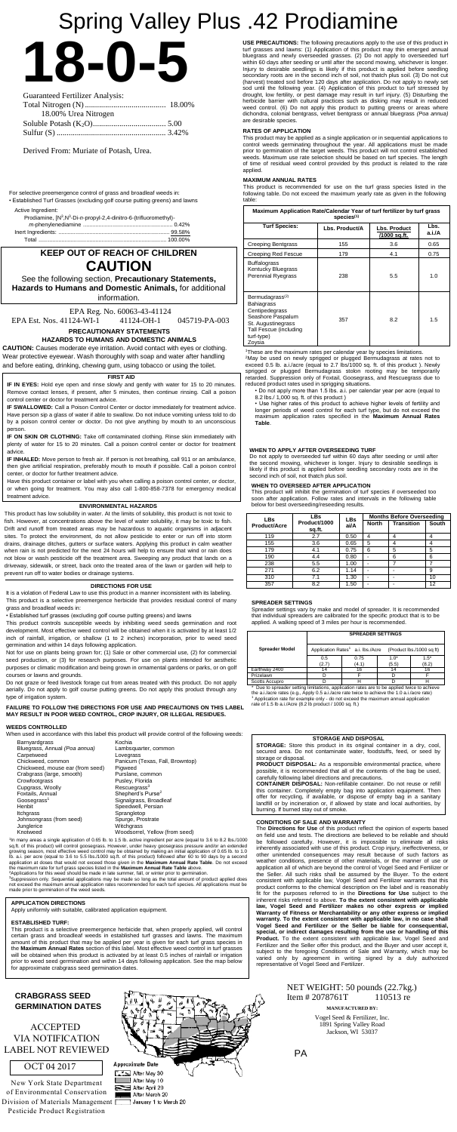**18-0-5** Guaranteed Fertilizer Analysis:

| 18.00% Urea Nitrogen |  |
|----------------------|--|
|                      |  |
|                      |  |

Derived From: Muriate of Potash, Urea.

# Spring Valley Plus .42 Prodiamine

For selective preemergence control of grass and broadleaf weeds in:

• Established Turf Grasses (excluding golf course putting greens) and lawns

Active Ingredient:

| Prodiamine, [N <sup>3</sup> , N <sup>3</sup> -Di-n-propyl-2, 4-dinitro-6-(trifluoromethyl)- |  |
|---------------------------------------------------------------------------------------------|--|
|                                                                                             |  |
|                                                                                             |  |
|                                                                                             |  |

# **KEEP OUT OF REACH OF CHILDREN CAUTION**

See the following section, **Precautionary Statements, Hazards to Humans and Domestic Animals,** for additional information.

EPA Reg. No. 60063-43-41124 EPA Est. Nos. 41124-WI-1 41124-OH-1 045719-PA-003

**PRECAUTIONARY STATEMENTS**

### **HAZARDS TO HUMANS AND DOMESTIC ANIMALS**

**CAUTION:** Causes moderate eye irritation. Avoid contact with eyes or clothing. Wear protective eyewear. Wash thoroughly with soap and water after handling and before eating, drinking, chewing gum, using tobacco or using the toilet.

#### **ENVIRONMENTAL HAZARDS**

This product has low solubility in water. At the limits of solubility, this product is not toxic to fish. However, at concentrations above the level of water solubility, it may be toxic to fish. Drift and runoff from treated areas may be hazardous to aquatic organisms in adjacent sites. To protect the environment, do not allow pesticide to enter or run off into storm drains, drainage ditches, gutters or surface waters. Applying this product in calm weather when rain is not predicted for the next 24 hours will help to ensure that wind or rain does not blow or wash pesticide off the treatment area. Sweeping any product that lands on a driveway, sidewalk, or street, back onto the treated area of the lawn or garden will help to prevent run off to water bodies or drainage systems.

1 In many areas a single application of 0.65 lb. to 1.5 lb. active ingredient per acre (equal to 3.6 to 8.2 lbs./1000 sq.ft. of this product) will control goosegrass. However, under heavy goosegrass pressure and/or an extended<br>growing season, most effective weed control may be obtained by making an initial application of 0.65 lb. to 1.0<br>l application at doses that would not exceed those given in the **Maximum Annual Rate Table**. Do not exceed<br>the maximum rate for turf grass species listed in the **Maximum Annual Rate Table** above.<br><sup>2</sup>Applications for this wee

<sup>3</sup>Suppression only. Sequential applications may be made so long as the total amount of product applied does<br>not exceed the maximum annual application rates recommended for each turf species. All applications must be<br>made

#### **DIRECTIONS FOR USE**

It is a violation of Federal Law to use this product in a manner inconsistent with its labeling. This product is a selective preemergence herbicide that provides residual control of many grass and broadleaf weeds in:

• Established turf grasses (excluding golf course putting greens) and lawns

This product controls susceptible weeds by inhibiting weed seeds germination and root development. Most effective weed control will be obtained when it is activated by at least 1/2 inch of rainfall, irrigation, or shallow (1 to 2 inches) incorporation, prior to weed seed germination and within 14 days following application.

Not for use on plants being grown for; (1) Sale or other commercial use, (2) for commercial seed production, or (3) for research purposes. For use on plants intended for aesthetic purposes or climatic modification and being grown in ornamental gardens or parks, or on golf courses or lawns and grounds.

Do not graze or feed livestock forage cut from areas treated with this product. Do not apply aerially. Do not apply to golf course putting greens. Do not apply this product through any type of irrigation system.

**FAILURE TO FOLLOW THE DIRECTIONS FOR USE AND PRECAUTIONS ON THIS LABEL MAY RESULT IN POOR WEED CONTROL, CROP INJURY, OR ILLEGAL RESIDUES.**

#### **WEEDS CONTROLLED**

When used in accordance with this label this product will provide control of the following weeds:

| Barnyardgrass                    | Kochia                          |
|----------------------------------|---------------------------------|
| Bluegrass, Annual (Poa annua)    | Lambsquarter, common            |
| Carpetweed                       | Lovegrass                       |
| Chickweed, common                | Panicum (Texas, Fall, Browntop) |
| Chickweed, mouse ear (from seed) | Piaweed                         |
| Crabgrass (large, smooth)        | Purslane, common                |
| Crowfootgrass                    | Pusley, Florida                 |
| Cupgrass, Woolly                 | Rescuegrass <sup>3</sup>        |
| Foxtails, Annual                 | Shepherd's Purse <sup>2</sup>   |
| Goosegrass <sup>1</sup>          | Signalgrass, Broadleaf          |
| Henbit                           | Speedwell, Persian              |
| Itchgrass                        | Sprangletop                     |
| Johnsongrass (from seed)         | Spurge, Prostrate               |
| Junglerice                       | Witchgrass                      |
| Knotweed                         | Woodsorrel, Yellow (from seed)  |

<sup>2</sup>May be used on newly sprigged or plugged Bermudagrass at rates not to exceed 0.5 lb. a.i./acre (equal to 2.7 lbs/1000 sq. ft. of this product ). Newly sprigged or plugged Bermudagrass stolon rooting may be temporarily retarded. Suppression only of Foxtail, Goosegrass, and Rescuegrass due to reduced product rates used in sprigging situations.

**IF IN EYES:** Hold eye open and rinse slowly and gently with water for 15 to 20 minutes Remove contact lenses, if present, after 5 minutes, then continue rinsing. Call a poison control center or doctor for treatment advice.

#### **APPLICATION DIRECTIONS**

Apply uniformly with suitable, calibrated application equipment.

#### **ESTABLISHED TURF:**

This product is a selective preemergence herbicide that, when properly applied, will control certain grass and broadleaf weeds in established turf grasses and lawns. The maximum amount of this product that may be applied per year is given for each turf grass species in the **Maximum Annual Rates** section of this label. Most effective weed control in turf grasses will be obtained when this product is activated by at least 0.5 inches of rainfall or irrigation prior to weed seed germination and within 14 days following application. See the map below for approximate crabgrass seed germination dates.

**USE PRECAUTIONS:** The following precautions apply to the use of this product in turf grasses and lawns: (1) Application of this product may thin emerged annual bluegrass and newly overseeded grasses. (2) Do not apply to overseeded turf within 60 days after seeding or until after the second mowing, whichever is longer. Injury to desirable seedlings is likely if this product is applied before seedling secondary roots are in the second inch of soil, not thatch plus soil. (3) Do not cut (harvest) treated sod before 120 days after application. Do not apply to newly set sod until the following year. (4) Application of this product to turf stressed by drought, low fertility, or pest damage may result in turf injury. (5) Disturbing the herbicide barrier with cultural practices such as disking may result in reduced weed control. (6) Do not apply this product to putting greens or areas where dichondra, colonial bentgrass, velvet bentgrass or annual bluegrass *(Poa annua)*  are desirable species.

# NET WEIGHT: 50 pounds (22.7kg.) Item # 2078761T 110513 re

#### **RATES OF APPLICATION**

Scotts Accupro Heritag limitations, application rates are to be applied twice to achieve<br>\* Due to spreader setting limitations, application rates are to be applied twice to achieve<br>the a.i./acre rates (e.g., Apply 0.5 a.i. <sup>1</sup> Application rate for example only - do not exceed the maximum annual application rate of 1.5 lb a.i./Acre (8.2 lb product / 1000 sq. ft.)

Division of Materials Management  $\square$ Pesticide Product Registration

This product may be applied as a single application or in sequential applications to control weeds germinating throughout the year. All applications must be made prior to germination of the target weeds. This product will not control established weeds. Maximum use rate selection should be based on turf species. The length of time of residual weed control provided by this product is related to the rate applied.

#### **MAXIMUM ANNUAL RATES**

This product is recommended for use on the turf grass species listed in the following table. Do not exceed the maximum yearly rate as given in the following table:

| Maximum Application Rate/Calendar Year of turf fertilizer by turf grass<br>species <sup>(1)</sup>                                                               |                |                              |                |  |
|-----------------------------------------------------------------------------------------------------------------------------------------------------------------|----------------|------------------------------|----------------|--|
| <b>Turf Species:</b>                                                                                                                                            | Lbs. Product/A | Lbs. Product<br>/1000 sq.ft. | Lbs.<br>a.i./A |  |
| <b>Creeping Bentgrass</b>                                                                                                                                       | 155            | 3.6                          | 0.65           |  |
| Creeping Red Fescue                                                                                                                                             | 179            | 4.1                          | 0.75           |  |
| <b>Buffalograss</b><br>Kentucky Bluegrass<br><b>Perennial Ryegrass</b>                                                                                          | 238            | 5.5                          | 1.0            |  |
| Bermudagrass <sup>(2)</sup><br><b>Bahiagrass</b><br>Centipedegrass<br>Seashore Paspalum<br>St. Augustinegrass<br>Tall Fescue (including<br>turf-type)<br>Zoysia | 357            | 8.2                          | 1.5            |  |

<sup>1</sup>These are the maximum rates per calendar year by species limitations.

• Do not apply more than 1.5 lbs. a.i. per calendar year per acre (equal to 8.2 lbs./ 1,000 sq. ft. of this product )

• Use higher rates of this product to achieve higher levels of fertility and longer periods of weed control for each turf type, but do not exceed the maximum application rates specified in the **Maximum Annual Rates Table**.

#### **FIRST AID**

**IF SWALLOWED:** Call a Poison Control Center or doctor immediately for treatment advice. Have person sip a glass of water if able to swallow. Do not induce vomiting unless told to do by a poison control center or doctor. Do not give anything by mouth to an unconscious person.

**IF ON SKIN OR CLOTHING:** Take off contaminated clothing. Rinse skin immediately with plenty of water for 15 to 20 minutes. Call a poison control center or doctor for treatment advice.

**IF INHALED:** Move person to fresh air. If person is not breathing, call 911 or an ambulance, then give artificial respiration, preferably mouth to mouth if possible. Call a poison control center, or doctor for further treatment advice.

Have this product container or label with you when calling a poison control center, or doctor, or when going for treatment. You may also call 1-800-858-7378 for emergency medical treatment advice.

#### **WHEN TO APPLY AFTER OVERSEEDING TURF**

Do not apply to overseeded turf within 60 days after seeding or until after the second mowing, whichever is longer. Injury to desirable seedlings is likely if this product is applied before seedling secondary roots are in the second inch of soil, not thatch plus soil.

#### **WHEN TO OVERSEED AFTER APPLICATION**

This product will inhibit the germination of turf species if overseeded too soon after application. Follow rates and intervals in the following table below for best overseeding/reseeding results.

| <b>LBs</b>          | <b>LBs</b>             | <b>LBs</b> |              | <b>Months Before Overseeding</b> |       |
|---------------------|------------------------|------------|--------------|----------------------------------|-------|
| <b>Product/Acre</b> | Product/1000<br>sq.ft. | ai/A       | <b>North</b> | <b>Transition</b>                | South |
| 119                 | 2.7                    | 0.50       | 4            |                                  |       |
| 155                 | 3.6                    | 0.65       | 5            |                                  | 4     |
| 179                 | 4.1                    | 0.75       | 6            | 5                                | 5     |
| 190                 | 4.4                    | 0.80       |              | 6                                | 6     |
| 238                 | 5.5                    | 1.00       |              |                                  |       |
| 271                 | 6.2                    | 1.14       |              |                                  | 9     |
| 310                 | 7.1                    | 1.30       |              |                                  | 10    |
| 357                 | 8.2                    | 1.50       |              |                                  | 12    |

#### **STORAGE AND DISPOSAL**

**STORAGE:** Store this product in its original container in a dry, cool, secured area. Do not contaminate water, foodstuffs, feed, or seed by storage or disposal.

**PRODUCT DISPOSAL:** As a responsible environmental practice, where possible, it is recommended that all of the contents of the bag be used, carefully following label directions and precautions.

**CONTAINER DISPOSAL:** Non-refillable container. Do not reuse or refill this container. Completely empty bag into application equipment. Then offer for recycling, if available, or dispose of empty bag in a sanitary landfill or by incineration or, if allowed by state and local authorities, by burning. If burned stay out of smoke.

#### **CONDITIONS OF SALE AND WARRANTY**

The **Directions for Use** of this product reflect the opinion of experts based on field use and tests. The directions are believed to be reliable and should be followed carefully. However, it is impossible to eliminate all risks inherently associated with use of this product. Crop injury, ineffectiveness, or other unintended consequences may result because of such factors as weather conditions, presence of other materials, or the manner of use or application all of which are beyond the control of Vogel Seed and Fertilizer or the Seller. All such risks shall be assumed by the Buyer. To the extent consistent with applicable law, Vogel Seed and Fertilizer warrants that this product conforms to the chemical description on the label and is reasonably fit for the purposes referred to in the **Directions for Use** subject to the inherent risks referred to above. **To the extent consistent with applicable law, Vogel Seed and Fertilizer makes no other express or implied Warranty of Fitness or Merchantability or any other express or implied warranty. To the extent consistent with applicable law, in no case shall Vogel Seed and Fertilizer or the Seller be liable for consequential, special, or indirect damages resulting from the use or handling of this**  Product. To the extent consistent with applicable law, Vogel Seed and Fertilizer and the Seller offer this product, and the Buyer and user accept it, subject to the foregoing Conditions of Sale and Warranty, which may be varied only by agreement in writing signed by a duly authorized representative of Vogel Seed and Fertilizer.

**CRABGRASS SEED** 

Vogel Seed & Fertilizer, Inc. 1891 Spring Valley Road Jackson, WI 53037

#### **SPREADER SETTINGS**

Spreader settings vary by make and model of spreader. It is recommended that individual spreaders are calibrated for the specific product that is to be applied. A walking speed of 3 miles per hour is recommended.

|                       | <b>SPREADER SETTINGS</b>                                                   |               |                 |                  |  |
|-----------------------|----------------------------------------------------------------------------|---------------|-----------------|------------------|--|
| <b>Spreader Model</b> | Application Rates <sup>1</sup> a.i. lbs./Acre<br>(Product lbs./1000 sq ft) |               |                 |                  |  |
|                       | 0.5<br>(2.7)                                                               | 0.75<br>(4.1) | $1.0*$<br>(5.5) | $1.5^*$<br>(8.2) |  |
| Earthway 2400         |                                                                            | 16            |                 | 16               |  |
| Prizelawn             |                                                                            |               |                 |                  |  |
| Scotts Accupro        |                                                                            |               |                 |                  |  |



OCT 04 2017

PA

ACCEPTED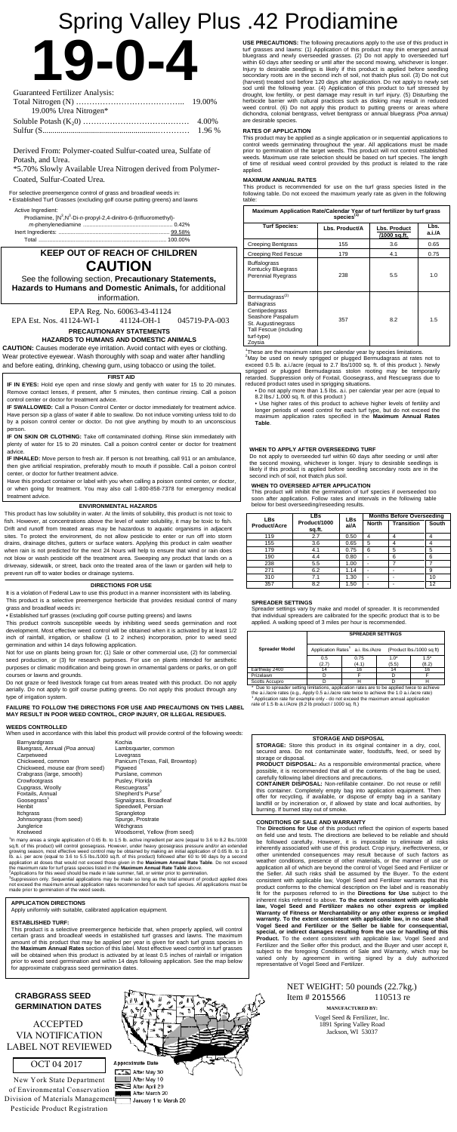**19-0-4**

| <b>Guaranteed Fertilizer Analysis:</b> |  |
|----------------------------------------|--|
|                                        |  |
| 19.00% Urea Nitrogen*                  |  |
|                                        |  |
|                                        |  |

Derived From: Polymer-coated Sulfur-coated urea, Sulfate of Potash, and Urea.

\*5.70% Slowly Available Urea Nitrogen derived from Polymer-Coated, Sulfur-Coated Urea.

# Spring Valley Plus .42 Prodiamine

For selective preemergence control of grass and broadleaf weeds in:

• Established Turf Grasses (excluding golf course putting greens) and lawns

| Active Ingredient:                                                                          |  |
|---------------------------------------------------------------------------------------------|--|
| Prodiamine, [N <sup>3</sup> , N <sup>3</sup> -Di-n-propyl-2, 4-dinitro-6-(trifluoromethyl)- |  |
|                                                                                             |  |
|                                                                                             |  |
|                                                                                             |  |

# **KEEP OUT OF REACH OF CHILDREN CAUTION**

See the following section, **Precautionary Statements, Hazards to Humans and Domestic Animals,** for additional information.

EPA Reg. No. 60063-43-41124 EPA Est. Nos. 41124-WI-1 41124-OH-1 045719-PA-003

**PRECAUTIONARY STATEMENTS**

**HAZARDS TO HUMANS AND DOMESTIC ANIMALS**

**CAUTION:** Causes moderate eye irritation. Avoid contact with eyes or clothing. Wear protective eyewear. Wash thoroughly with soap and water after handling and before eating, drinking, chewing gum, using tobacco or using the toilet.

#### **ENVIRONMENTAL HAZARDS**

This product has low solubility in water. At the limits of solubility, this product is not toxic to fish. However, at concentrations above the level of water solubility, it may be toxic to fish. Drift and runoff from treated areas may be hazardous to aquatic organisms in adjacent sites. To protect the environment, do not allow pesticide to enter or run off into storm drains, drainage ditches, gutters or surface waters. Applying this product in calm weather when rain is not predicted for the next 24 hours will help to ensure that wind or rain does not blow or wash pesticide off the treatment area. Sweeping any product that lands on a driveway, sidewalk, or street, back onto the treated area of the lawn or garden will help to prevent run off to water bodies or drainage systems.

1 In many areas a single application of 0.65 lb. to 1.5 lb. active ingredient per acre (equal to 3.6 to 8.2 lbs./1000 sq.ft. of this product) will control goosegrass. However, under heavy goosegrass pressure and/or an extended<br>growing season, most effective weed control may be obtained by making an initial application of 0.65 lb. to 1.0<br>l application at doses that would not exceed those given in the **Maximum Annual Rate Table**. Do not exceed<br>the maximum rate for turf grass species listed in the **Maximum Annual Rate Table** above.<br><sup>2</sup>Applications for this wee

#### **DIRECTIONS FOR USE**

It is a violation of Federal Law to use this product in a manner inconsistent with its labeling. This product is a selective preemergence herbicide that provides residual control of many grass and broadleaf weeds in:

• Established turf grasses (excluding golf course putting greens) and lawns

exceed the maximum annual application rates recommended for each turf species. All applications must be made prior to germination of the weed seeds.

This product controls susceptible weeds by inhibiting weed seeds germination and root development. Most effective weed control will be obtained when it is activated by at least 1/2 inch of rainfall, irrigation, or shallow (1 to 2 inches) incorporation, prior to weed seed germination and within 14 days following application.

Not for use on plants being grown for; (1) Sale or other commercial use, (2) for commercial seed production, or (3) for research purposes. For use on plants intended for aesthetic purposes or climatic modification and being grown in ornamental gardens or parks, or on golf courses or lawns and grounds.

Do not graze or feed livestock forage cut from areas treated with this product. Do not apply aerially. Do not apply to golf course putting greens. Do not apply this product through any type of irrigation system.

**FAILURE TO FOLLOW THE DIRECTIONS FOR USE AND PRECAUTIONS ON THIS LABEL MAY RESULT IN POOR WEED CONTROL, CROP INJURY, OR ILLEGAL RESIDUES.**

#### **WEEDS CONTROLLED**

When used in accordance with this label this product will provide control of the following weeds:

| Barnyardgrass                    | Kochia                          |
|----------------------------------|---------------------------------|
| Bluegrass, Annual (Poa annua)    | Lambsquarter, common            |
| Carpetweed                       | Lovegrass                       |
| Chickweed, common                | Panicum (Texas, Fall, Browntop) |
| Chickweed, mouse ear (from seed) | Pigweed                         |
| Crabgrass (large, smooth)        | Purslane, common                |
| Crowfootgrass                    | Pusley, Florida                 |
| Cupgrass, Woolly                 | Rescuegrass <sup>3</sup>        |
| Foxtails, Annual                 | Shepherd's Purse <sup>2</sup>   |
| Goosegrass <sup>1</sup>          | Signalgrass, Broadleaf          |
| Henbit                           | Speedwell, Persian              |
| Itchgrass                        | Sprangletop                     |
| Johnsongrass (from seed)         | Spurge, Prostrate               |
| Junglerice                       | Witchgrass                      |
| Knotweed                         | Woodsorrel, Yellow (from seed)  |

<sup>2</sup>May be used on newly sprigged or plugged Bermudagrass at rates not to exceed 0.5 lb. a.i./acre (equal to 2.7 lbs/1000 sq. ft. of this product ). Newly sprigged or plugged Bermudagrass stolon rooting may be temporarily retarded. Suppression only of Foxtail, Goosegrass, and Rescuegrass due to reduced product rates used in sprigging situations.

#### **APPLICATION DIRECTIONS**

Apply uniformly with suitable, calibrated application equipment.

#### **ESTABLISHED TURF:**

This product is a selective preemergence herbicide that, when properly applied, will control certain grass and broadleaf weeds in established turf grasses and lawns. The maximum amount of this product that may be applied per year is given for each turf grass species in the **Maximum Annual Rates** section of this label. Most effective weed control in turf grasses will be obtained when this product is activated by at least 0.5 inches of rainfall or irrigation prior to weed seed germination and within 14 days following application. See the map below for approximate crabgrass seed germination dates.

**USE PRECAUTIONS:** The following precautions apply to the use of this product in turf grasses and lawns: (1) Application of this product may thin emerged annual bluegrass and newly overseeded grasses. (2) Do not apply to overseeded turf within 60 days after seeding or until after the second mowing, whichever is longer. Injury to desirable seedlings is likely if this product is applied before seedling secondary roots are in the second inch of soil, not thatch plus soil. (3) Do not cut (harvest) treated sod before 120 days after application. Do not apply to newly set sod until the following year. (4) Application of this product to turf stressed by drought, low fertility, or pest damage may result in turf injury. (5) Disturbing the herbicide barrier with cultural practices such as disking may result in reduced weed control. (6) Do not apply this product to putting greens or areas where dichondra, colonial bentgrass, velvet bentgrass or annual bluegrass *(Poa annua)*  are desirable species.

# NET WEIGHT: 50 pounds (22.7kg.) Item # 2015566 110513 re

#### **RATES OF APPLICATION**

Scotts Accupro<br>\* Due to spreader setting limitations, application rates are to be applied twice to achieve<br>the a.i./acre rates (e.g., Apply 0.5 a.i./acre rate twice to achieve the 1.0 a.i./acre rate) <sup>1</sup> Application rate for example only - do not exceed the maximum annual application rate of 1.5 lb a.i./Acre (8.2 lb product / 1000 sq. ft.)

This product may be applied as a single application or in sequential applications to control weeds germinating throughout the year. All applications must be made prior to germination of the target weeds. This product will not control established weeds. Maximum use rate selection should be based on turf species. The length of time of residual weed control provided by this product is related to the rate applied.

#### **MAXIMUM ANNUAL RATES**

This product is recommended for use on the turf grass species listed in the following table. Do not exceed the maximum yearly rate as given in the following table:

| Maximum Application Rate/Calendar Year of turf fertilizer by turf grass<br>species <sup>(1)</sup>                                                               |                |                              |                |  |
|-----------------------------------------------------------------------------------------------------------------------------------------------------------------|----------------|------------------------------|----------------|--|
| <b>Turf Species:</b>                                                                                                                                            | Lbs. Product/A | Lbs. Product<br>/1000 sq.ft. | Lbs.<br>a.i./A |  |
| <b>Creeping Bentgrass</b>                                                                                                                                       | 155            | 3.6                          | 0.65           |  |
| Creeping Red Fescue                                                                                                                                             | 179            | 4.1                          | 0.75           |  |
| <b>Buffalograss</b><br>Kentucky Bluegrass<br><b>Perennial Ryegrass</b>                                                                                          | 238            | 5.5                          | 1.0            |  |
| Bermudagrass <sup>(2)</sup><br><b>Bahiagrass</b><br>Centipedegrass<br>Seashore Paspalum<br>St. Augustinegrass<br>Tall Fescue (including<br>turf-type)<br>Zovsia | 357            | 8.2                          | 1.5            |  |

1 These are the maximum rates per calendar year by species limitations. <sup>2</sup>

• Do not apply more than 1.5 lbs. a.i. per calendar year per acre (equal to 8.2 lbs./ 1,000 sq. ft. of this product )

• Use higher rates of this product to achieve higher levels of fertility and longer periods of weed control for each turf type, but do not exceed the maximum application rates specified in the **Maximum Annual Rates Table**.

#### **FIRST AID**

**IF IN EYES:** Hold eye open and rinse slowly and gently with water for 15 to 20 minutes. Remove contact lenses, if present, after 5 minutes, then continue rinsing. Call a poison control center or doctor for treatment advice.

**IF SWALLOWED:** Call a Poison Control Center or doctor immediately for treatment advice. Have person sip a glass of water if able to swallow. Do not induce vomiting unless told to do by a poison control center or doctor. Do not give anything by mouth to an unconscious person.

**IF ON SKIN OR CLOTHING:** Take off contaminated clothing. Rinse skin immediately with plenty of water for 15 to 20 minutes. Call a poison control center or doctor for treatment advice.

**IF INHALED:** Move person to fresh air. If person is not breathing, call 911 or an ambulance, then give artificial respiration, preferably mouth to mouth if possible. Call a poison control center, or doctor for further treatment advice.

Have this product container or label with you when calling a poison control center, or doctor, or when going for treatment. You may also call 1-800-858-7378 for emergency medical treatment advice.

#### **WHEN TO APPLY AFTER OVERSEEDING TURF**

Do not apply to overseeded turf within 60 days after seeding or until after the second mowing, whichever is longer. Injury to desirable seedlings is likely if this product is applied before seedling secondary roots are in the second inch of soil, not thatch plus soil.

#### **WHEN TO OVERSEED AFTER APPLICATION**

This product will inhibit the germination of turf species if overseeded too soon after application. Follow rates and intervals in the following table below for best overseeding/reseeding results.

| <b>LBs</b>   | LBs                    | <b>LBs</b><br>ai/A |              | <b>Months Before Overseeding</b> |       |
|--------------|------------------------|--------------------|--------------|----------------------------------|-------|
| Product/Acre | Product/1000<br>sq.ft. |                    | <b>North</b> | <b>Transition</b>                | South |
| 119          | 2.7                    | 0.50               | 4            |                                  |       |
| 155          | 3.6                    | 0.65               | 5            | 4                                | 4     |
| 179          | 4.1                    | 0.75               | 6            | 5                                | 5     |
| 190          | 4.4                    | 0.80               |              | 6                                | 6     |
| 238          | 5.5                    | 1.00               |              |                                  |       |
| 271          | 6.2                    | 1.14               |              |                                  | 9     |
| 310          | 7.1                    | 1.30               | -            |                                  | 10    |
| 357          | 8.2                    | 1.50               |              |                                  | 12    |

#### **STORAGE AND DISPOSAL**

**STORAGE:** Store this product in its original container in a dry, cool, secured area. Do not contaminate water, foodstuffs, feed, or seed by storage or disposal.

**PRODUCT DISPOSAL:** As a responsible environmental practice, where possible, it is recommended that all of the contents of the bag be used, carefully following label directions and precautions.

**CONTAINER DISPOSAL:** Non-refillable container. Do not reuse or refill this container. Completely empty bag into application equipment. Then offer for recycling, if available, or dispose of empty bag in a sanitary landfill or by incineration or, if allowed by state and local authorities, by burning. If burned stay out of smoke.

#### **CONDITIONS OF SALE AND WARRANTY**

The **Directions for Use** of this product reflect the opinion of experts based on field use and tests. The directions are believed to be reliable and should be followed carefully. However, it is impossible to eliminate all risks inherently associated with use of this product. Crop injury, ineffectiveness, or other unintended consequences may result because of such factors as weather conditions, presence of other materials, or the manner of use or application all of which are beyond the control of Vogel Seed and Fertilizer or the Seller. All such risks shall be assumed by the Buyer. To the extent consistent with applicable law, Vogel Seed and Fertilizer warrants that this product conforms to the chemical description on the label and is reasonably fit for the purposes referred to in the **Directions for Use** subject to the inherent risks referred to above. **To the extent consistent with applicable law, Vogel Seed and Fertilizer makes no other express or implied Warranty of Fitness or Merchantability or any other express or implied warranty. To the extent consistent with applicable law, in no case shall Vogel Seed and Fertilizer or the Seller be liable for consequential, special, or indirect damages resulting from the use or handling of this Product.** To the extent consistent with applicable law, Vogel Seed and Fertilizer and the Seller offer this product, and the Buyer and user accept it, subject to the foregoing Conditions of Sale and Warranty, which may be varied only by agreement in writing signed by a duly authorized representative of Vogel Seed and Fertilizer.



Vogel Seed & Fertilizer, Inc. 1891 Spring Valley Road Jackson, WI 53037

#### **SPREADER SETTINGS**

Spreader settings vary by make and model of spreader. It is recommended that individual spreaders are calibrated for the specific product that is to be applied. A walking speed of 3 miles per hour is recommended.

# **CRABGRASS SEED** ACCEPTED

|                       | <b>SPREADER SETTINGS</b>                                                |               |                 |                 |  |
|-----------------------|-------------------------------------------------------------------------|---------------|-----------------|-----------------|--|
| <b>Spreader Model</b> | Application Rates <sup>1</sup> a.i. lbs./Acre (Product lbs./1000 sq ft) |               |                 |                 |  |
|                       | 0.5<br>(2.7)                                                            | 0.75<br>(4.1) | $1.0*$<br>(5.5) | $1.5*$<br>(8.2) |  |
| Earthway 2400         | 14                                                                      | 16            | 14              | 16              |  |
| Prizelawn             |                                                                         |               |                 |                 |  |
| Scotts Accupro        |                                                                         |               |                 |                 |  |

### OCT 04 2017

# VIA NOTIFICATION LABEL NOT REVIEWED

New York State Department of Environmental Conservation Division of Materials Management Pesticide Product Registration